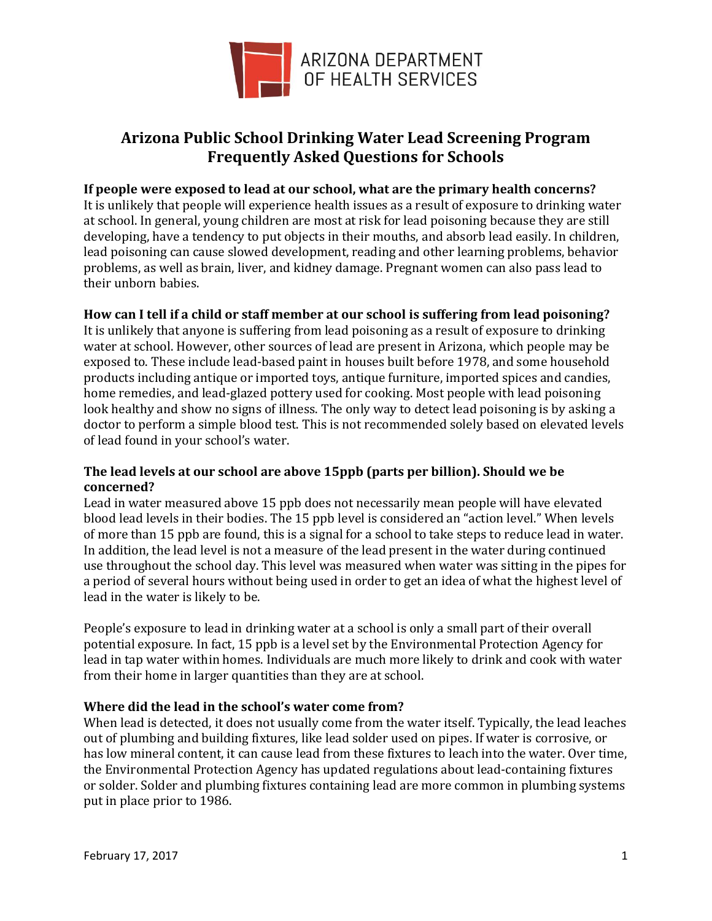

# **Arizona Public School Drinking Water Lead Screening Program Frequently Asked Questions for Schools**

## **If people were exposed to lead at our school, what are the primary health concerns?**

It is unlikely that people will experience health issues as a result of exposure to drinking water at school. In general, young children are most at risk for lead poisoning because they are still developing, have a tendency to put objects in their mouths, and absorb lead easily. In children, lead poisoning can cause slowed development, reading and other learning problems, behavior problems, as well as brain, liver, and kidney damage. Pregnant women can also pass lead to their unborn babies.

## **How can I tell if a child or staff member at our school is suffering from lead poisoning?**

It is unlikely that anyone is suffering from lead poisoning as a result of exposure to drinking water at school. However, other sources of lead are present in Arizona, which people may be exposed to. These include lead-based paint in houses built before 1978, and some household products including antique or imported toys, antique furniture, imported spices and candies, home remedies, and lead-glazed pottery used for cooking. Most people with lead poisoning look healthy and show no signs of illness. The only way to detect lead poisoning is by asking a doctor to perform a simple blood test. This is not recommended solely based on elevated levels of lead found in your school's water.

## **The lead levels at our school are above 15ppb (parts per billion). Should we be concerned?**

Lead in water measured above 15 ppb does not necessarily mean people will have elevated blood lead levels in their bodies. The 15 ppb level is considered an "action level." When levels of more than 15 ppb are found, this is a signal for a school to take steps to reduce lead in water. In addition, the lead level is not a measure of the lead present in the water during continued use throughout the school day. This level was measured when water was sitting in the pipes for a period of several hours without being used in order to get an idea of what the highest level of lead in the water is likely to be.

People's exposure to lead in drinking water at a school is only a small part of their overall potential exposure. In fact, 15 ppb is a level set by the Environmental Protection Agency for lead in tap water within homes. Individuals are much more likely to drink and cook with water from their home in larger quantities than they are at school.

## **Where did the lead in the school's water come from?**

When lead is detected, it does not usually come from the water itself. Typically, the lead leaches out of plumbing and building fixtures, like lead solder used on pipes. If water is corrosive, or has low mineral content, it can cause lead from these fixtures to leach into the water. Over time, the Environmental Protection Agency has updated regulations about lead-containing fixtures or solder. Solder and plumbing fixtures containing lead are more common in plumbing systems put in place prior to 1986.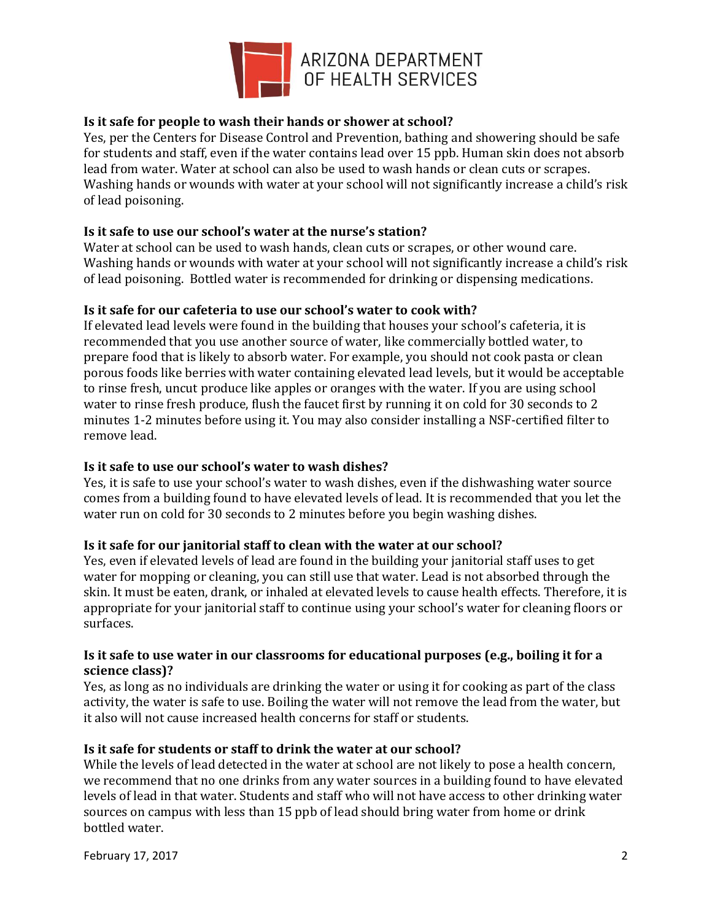

# **Is it safe for people to wash their hands or shower at school?**

Yes, per the Centers for Disease Control and Prevention, bathing and showering should be safe for students and staff, even if the water contains lead over 15 ppb. Human skin does not absorb lead from water. Water at school can also be used to wash hands or clean cuts or scrapes. Washing hands or wounds with water at your school will not significantly increase a child's risk of lead poisoning.

## **Is it safe to use our school's water at the nurse's station?**

Water at school can be used to wash hands, clean cuts or scrapes, or other wound care. Washing hands or wounds with water at your school will not significantly increase a child's risk of lead poisoning. Bottled water is recommended for drinking or dispensing medications.

## **Is it safe for our cafeteria to use our school's water to cook with?**

If elevated lead levels were found in the building that houses your school's cafeteria, it is recommended that you use another source of water, like commercially bottled water, to prepare food that is likely to absorb water. For example, you should not cook pasta or clean porous foods like berries with water containing elevated lead levels, but it would be acceptable to rinse fresh, uncut produce like apples or oranges with the water. If you are using school water to rinse fresh produce, flush the faucet first by running it on cold for 30 seconds to 2 minutes 1-2 minutes before using it. You may also consider installing a NSF-certified filter to remove lead.

## **Is it safe to use our school's water to wash dishes?**

Yes, it is safe to use your school's water to wash dishes, even if the dishwashing water source comes from a building found to have elevated levels of lead. It is recommended that you let the water run on cold for 30 seconds to 2 minutes before you begin washing dishes.

## **Is it safe for our janitorial staff to clean with the water at our school?**

Yes, even if elevated levels of lead are found in the building your janitorial staff uses to get water for mopping or cleaning, you can still use that water. Lead is not absorbed through the skin. It must be eaten, drank, or inhaled at elevated levels to cause health effects. Therefore, it is appropriate for your janitorial staff to continue using your school's water for cleaning floors or surfaces.

## **Is it safe to use water in our classrooms for educational purposes (e.g., boiling it for a science class)?**

Yes, as long as no individuals are drinking the water or using it for cooking as part of the class activity, the water is safe to use. Boiling the water will not remove the lead from the water, but it also will not cause increased health concerns for staff or students.

## **Is it safe for students or staff to drink the water at our school?**

While the levels of lead detected in the water at school are not likely to pose a health concern, we recommend that no one drinks from any water sources in a building found to have elevated levels of lead in that water. Students and staff who will not have access to other drinking water sources on campus with less than 15 ppb of lead should bring water from home or drink bottled water.